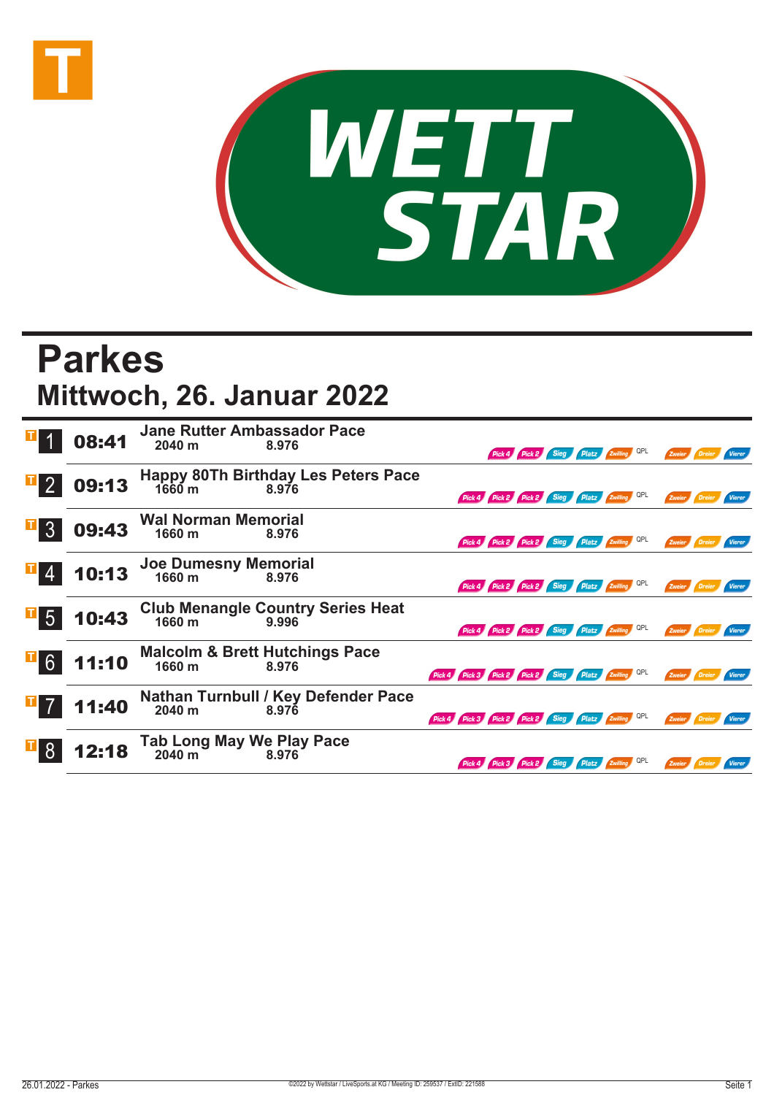



## **Parkes Mittwoch, 26. Januar 2022**

|                                                      | 08:41 | <b>Jane Rutter Ambassador Pace</b><br>2040 m<br>8.976                    |                                                     | Pick 4 Pick 2 Sieg Platz Zwilling QPL        |  | Zweier                        |               |
|------------------------------------------------------|-------|--------------------------------------------------------------------------|-----------------------------------------------------|----------------------------------------------|--|-------------------------------|---------------|
|                                                      | 09:13 | <b>Happy 80Th Birthday Les Peters Pace</b><br>1660 <sub>m</sub><br>8.976 |                                                     | Pick 4 Pick 2 Pick 2 Sieg Platz Zwilling QPL |  | Zweier<br>Dreier              | Vierer        |
| $\mathbf{L}$<br>$\overline{3}$                       | 09:43 | <b>Wal Norman Memorial</b><br>1660 m<br>8.976                            |                                                     | Pick 4 Pick 2 Pick 2 Sieg Platz Zwilling QPL |  | Zweier                        |               |
|                                                      | 10:13 | Joe Dumesny Memorial<br>1660 m 8.976                                     |                                                     | Pick 4 Pick 2 Pick 2 Sieg Platz Zwilling QPL |  | Zweier<br><b>Dreier</b>       | <b>Vierer</b> |
| $\begin{array}{c c} \hline \text{I} & 5 \end{array}$ | 10:43 | Club Menangle Country Series Heat<br>1660 m<br>9.996                     |                                                     | Pick 4 Pick 2 Pick 2 Sieg Platz Zwilling QPL |  | Zweier                        | Vierer        |
| $\overline{1}$ 6                                     | 11:10 | <b>Malcolm &amp; Brett Hutchings Pace</b><br>1660 m<br>8.976             | Pick 4 Pick 3 Pick 2 Pick 2 Sieg Platz Ewilling QPL |                                              |  | Zweier                        |               |
| $\mathbb{Z}$ 7                                       | 11:40 | Nathan Turnbull / Key Defender Pace<br>2040 m<br>8.976                   | Pick 4 Pick 3 Pick 2 Pick 2 Sieg Platz Zwilling QPL |                                              |  | Zweier<br>Dreier <sup>1</sup> | <b>Vierer</b> |
|                                                      | 12:18 | Tab Long May We Play Pace<br>2040 m<br>8.976                             |                                                     | Pick 4 Pick 3 Pick 2 Sieg Platz Zwilling     |  |                               |               |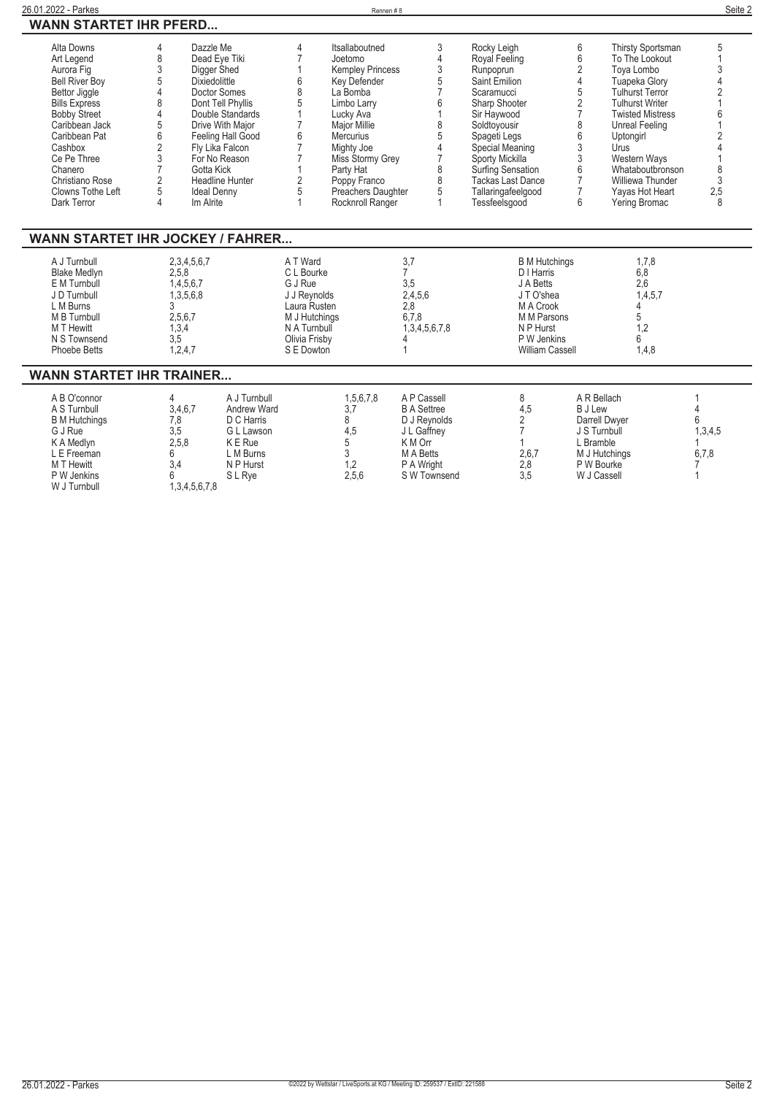| 26.01.2022 - Parkes           |                        | Rennen#8                |                          |   |                         | Seite 2 |
|-------------------------------|------------------------|-------------------------|--------------------------|---|-------------------------|---------|
| <b>WANN STARTET IHR PFERD</b> |                        |                         |                          |   |                         |         |
| Alta Downs                    | Dazzle Me              | Itsallaboutned          | Rocky Leigh              | 6 | Thirsty Sportsman       |         |
| Art Legend                    | Dead Eye Tiki          | Joetomo                 | Royal Feeling            |   | To The Lookout          |         |
| Aurora Fig                    | Digger Shed            | <b>Kempley Princess</b> | Runpoprun                |   | Tova Lombo              |         |
| <b>Bell River Boy</b>         | <b>Dixiedolittle</b>   | Key Defender            | Saint Emilion            |   | Tuapeka Glory           |         |
| <b>Bettor Jiggle</b>          | Doctor Somes           | La Bomba                | Scaramucci               |   | <b>Tulhurst Terror</b>  |         |
| <b>Bills Express</b>          | Dont Tell Phyllis      | Limbo Larry             | Sharp Shooter            |   | <b>Tulhurst Writer</b>  |         |
| <b>Bobby Street</b>           | Double Standards       | Lucky Ava               | Sir Haywood              |   | <b>Twisted Mistress</b> |         |
| Caribbean Jack                | Drive With Maior       | Major Millie            | Soldtoyousir             |   | Unreal Feeling          |         |
| Caribbean Pat                 | Feeling Hall Good      | <b>Mercurius</b>        | Spageti Legs             |   | Uptongirl               |         |
| Cashbox                       | Fly Lika Falcon        | Mighty Joe              | Special Meaning          |   | Urus                    |         |
| Ce Pe Three                   | For No Reason          | Miss Stormy Grey        | Sporty Mickilla          |   | Western Wavs            |         |
| Chanero                       | Gotta Kick             | Party Hat               | <b>Surfing Sensation</b> |   | Whataboutbronson        |         |
| Christiano Rose               | <b>Headline Hunter</b> | Poppy Franco            | Tackas Last Dance        |   | Williewa Thunder        |         |
| Clowns Tothe Left             | <b>Ideal Denny</b>     | Preachers Daughter      | Tallaringafeelgood       |   | Yayas Hot Heart         | 2,5     |
| Dark Terror                   | Im Alrite              | Rocknroll Ranger        | Tessfeelsgood            | n | Yering Bromac           |         |

## **WANN STARTET IHR JOCKEY / FAHRER...**

| 1/31111 VI/313 I ET IIII 1. VVVI 1. ET / I /31 II 1. ET 1. II |               |               |                        |         |  |  |
|---------------------------------------------------------------|---------------|---------------|------------------------|---------|--|--|
| 2,3,4,5,6,7                                                   | A T Ward      |               | <b>B</b> M Hutchings   | 1.7.8   |  |  |
| 2,5,8                                                         | C L Bourke    |               | D I Harris             | 6,8     |  |  |
| 1,4,5,6,7                                                     | G J Rue       | 3.5           | J A Betts              | 2.6     |  |  |
| .3.5.6.8                                                      | J J Revnolds  | 2,4,5,6       | JT O'shea              | 1,4,5,7 |  |  |
|                                                               | Laura Rusten  | 2.8           | M A Crook              |         |  |  |
| 2,5,6,7                                                       | M J Hutchings | 6,7,8         | M M Parsons            |         |  |  |
| 1,3,4                                                         | N A Turnbull  | 1,3,4,5,6,7,8 | N P Hurst              |         |  |  |
| 3.5                                                           | Olivia Frisby |               | P W Jenkins            |         |  |  |
| 0.247                                                         | S E Dowton    |               | <b>William Cassell</b> | 1.4,8   |  |  |
|                                                               |               |               |                        |         |  |  |

## **WANN STARTET IHR TRAINER...**

| 1,3,4,5,6,7,8<br>W J Turnbull | A B O'connor<br>A S Turnbull<br><b>B</b> M Hutchings<br>G J Rue<br>K A Medlyn<br>L E Freeman<br>M T Hewitt<br>P W Jenkins | 3,4,6,7<br>7.8<br>3,5<br>2,5,8<br>3.4 | A J Turnbull<br>Andrew Ward<br>D C Harris<br>G L Lawson<br>K E Rue<br>L M Burns<br>N P Hurst<br>S L Rye | 1,5,6,7,8<br>3.7<br>4.5<br>2,5,6 | A P Cassell<br><b>B A Settree</b><br>D J Revnolds<br>J L Gaffney<br>K M Orr<br>M A Betts<br>P A Wright<br>S W Townsend | 4.5<br>2,6,7<br>2,8<br>3,5 | A R Bellach<br><b>B</b> J Lew<br>Darrell Dwyer<br>J S Turnbull<br>L Bramble<br>M J Hutchings<br>P W Bourke<br>W J Cassell | 1,3,4,5<br>6,7,8 |
|-------------------------------|---------------------------------------------------------------------------------------------------------------------------|---------------------------------------|---------------------------------------------------------------------------------------------------------|----------------------------------|------------------------------------------------------------------------------------------------------------------------|----------------------------|---------------------------------------------------------------------------------------------------------------------------|------------------|
|-------------------------------|---------------------------------------------------------------------------------------------------------------------------|---------------------------------------|---------------------------------------------------------------------------------------------------------|----------------------------------|------------------------------------------------------------------------------------------------------------------------|----------------------------|---------------------------------------------------------------------------------------------------------------------------|------------------|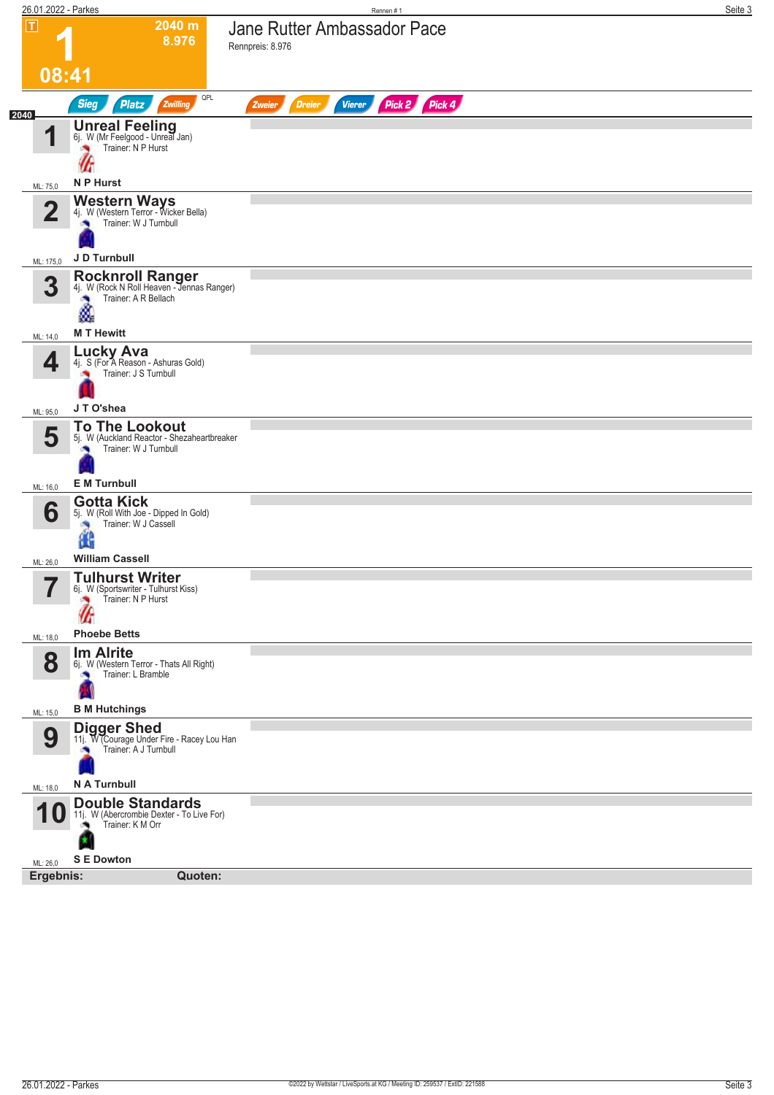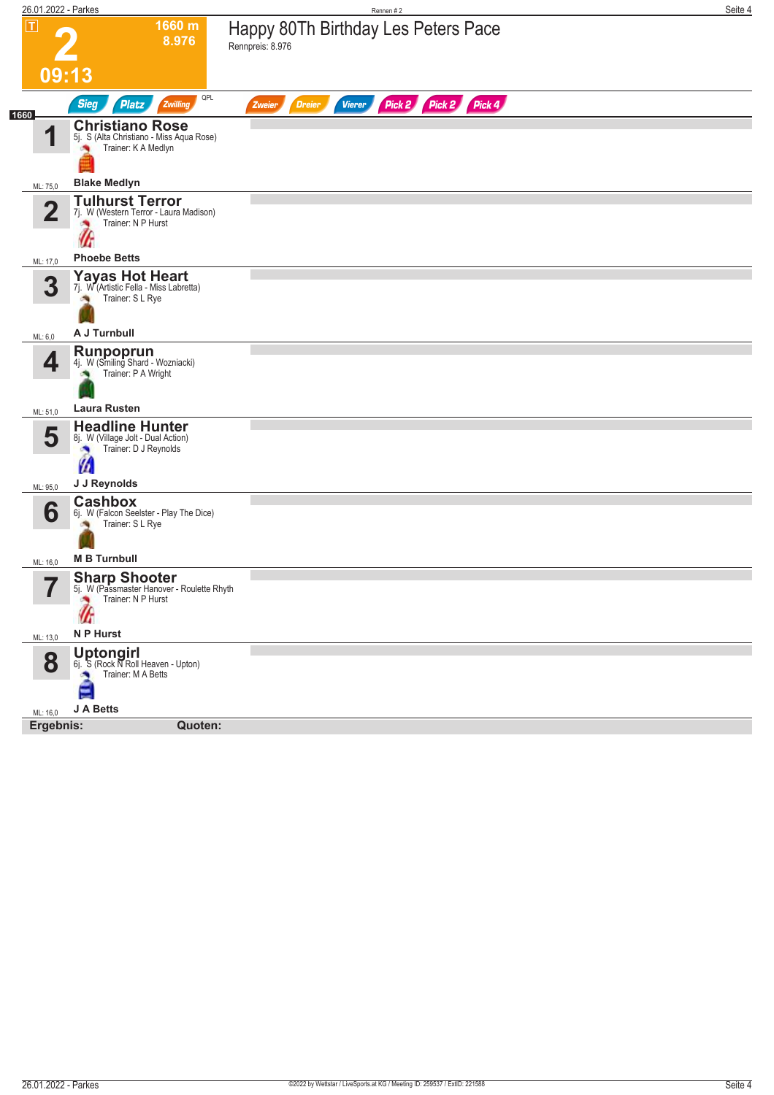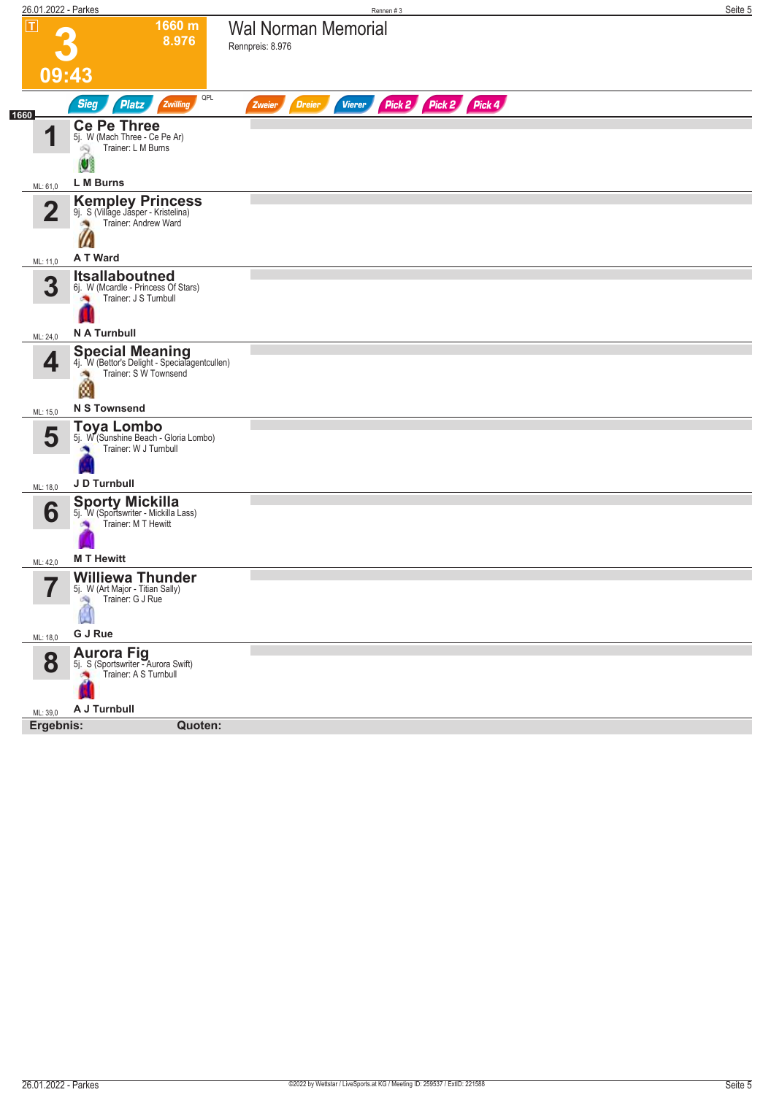| 26.01.2022 - Parkes           |                                                                                                                               | Rennen#3                                                         | Seite 5 |
|-------------------------------|-------------------------------------------------------------------------------------------------------------------------------|------------------------------------------------------------------|---------|
| $\overline{\mathbf{r}}$       | 1660 m<br>8.976                                                                                                               | <b>Wal Norman Memorial</b><br>Rennpreis: 8.976                   |         |
|                               | 09:43                                                                                                                         |                                                                  |         |
|                               | QPL<br><b>Sieg</b><br>Zwilling<br><b>Platz</b>                                                                                | Pick 2 Pick 2 Pick 4<br><b>Dreier</b><br><b>Vierer</b><br>Zweier |         |
| 1660<br>И                     | <b>Ce Pe Three</b><br>5j. W (Mach Three - Ce Pe Ar)<br>Trainer: L M Burns<br>闷                                                |                                                                  |         |
|                               | Ø<br>L M Burns                                                                                                                |                                                                  |         |
| ML: 61,0<br>$\mathbf 2$       | Kempley Princess<br>9j. S (Village Jasper - Kristelina)<br>Trainer: Andrew Ward                                               |                                                                  |         |
| ML: 11,0                      | A T Ward                                                                                                                      |                                                                  |         |
| 3                             | <b>Itsallaboutned</b><br>6j. W (Mcardle - Princess Of Stars)<br>Trainer: J S Turnbull<br>×                                    |                                                                  |         |
| ML: 24,0                      | N A Turnbull                                                                                                                  |                                                                  |         |
| 4                             | <b>Special Meaning</b><br>4j. W (Bettor's Delight - Specialagentcullen)<br>Trainer: S W Townsend<br>Ñ.<br><b>N S Townsend</b> |                                                                  |         |
| ML: 15,0                      | Toya Lombo                                                                                                                    |                                                                  |         |
| 5                             | 5j. W (Sunshine Beach - Gloria Lombo)<br>Trainer: W J Turnbull<br>J D Turnbull                                                |                                                                  |         |
| ML: 18,0                      |                                                                                                                               |                                                                  |         |
| 6<br>ML: 42,0                 | <b>Sporty Mickilla</b><br>5j. W (Sportswriter - Mickilla Lass)<br>Trainer: M T Hewitt<br><b>MT Hewitt</b>                     |                                                                  |         |
| $\overline{\phantom{a}}$<br>ı | <b>Williewa Thunder</b><br>5. W (Art Major - Titian Sally)<br>Trainer: G J Rue<br>SQ.                                         |                                                                  |         |
| ML: 18,0                      | G J Rue                                                                                                                       |                                                                  |         |
| 8                             | <b>Aurora Fig.</b><br>51. S (Sportswriter - Aurora Swift)<br>Trainer: A S Turnbull                                            |                                                                  |         |
| ML: 39,0                      | A J Turnbull                                                                                                                  |                                                                  |         |
| Ergebnis:                     | Quoten:                                                                                                                       |                                                                  |         |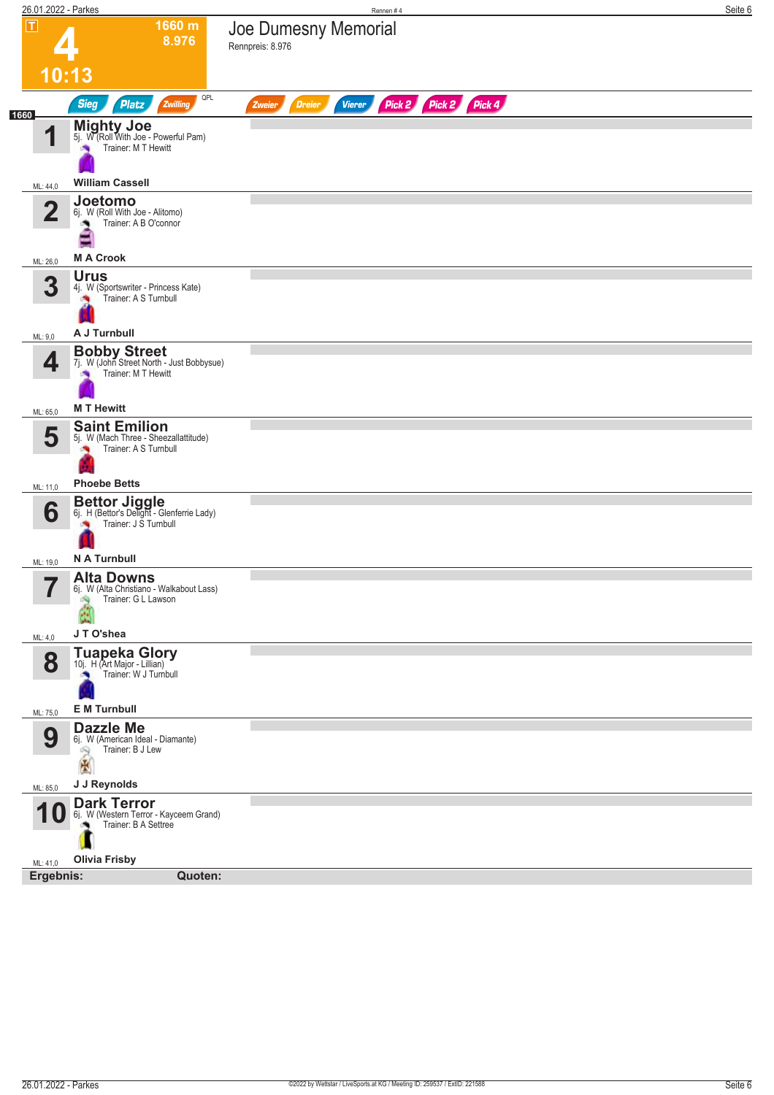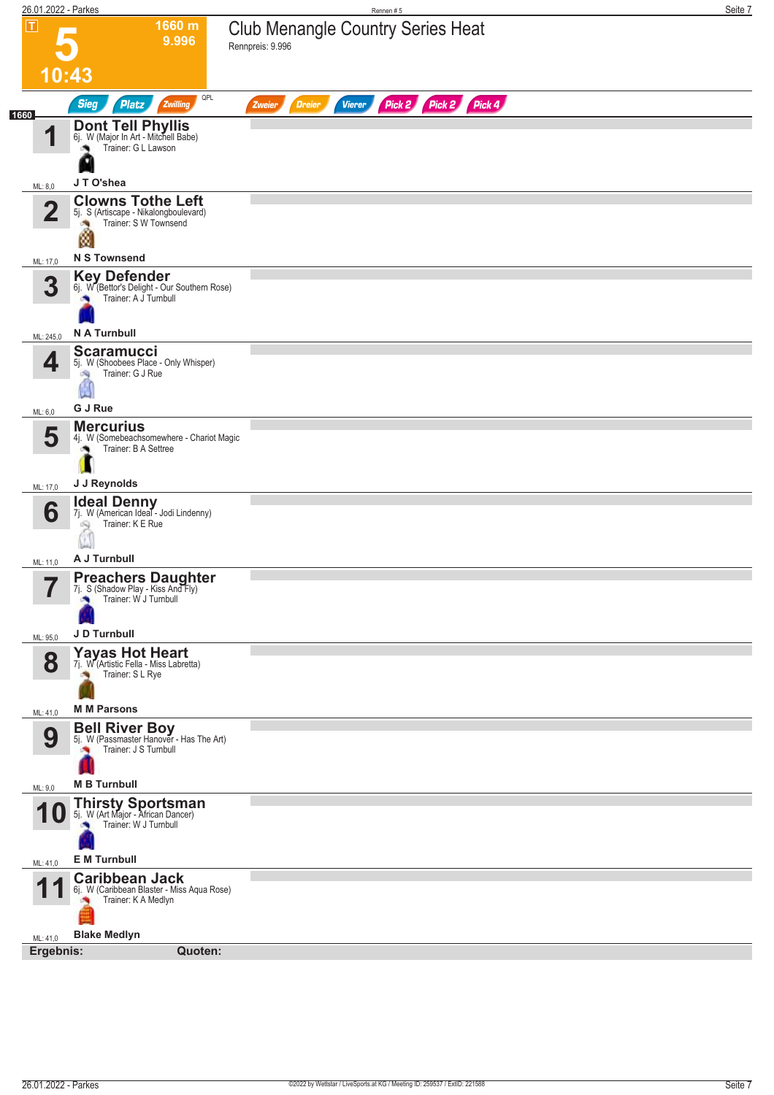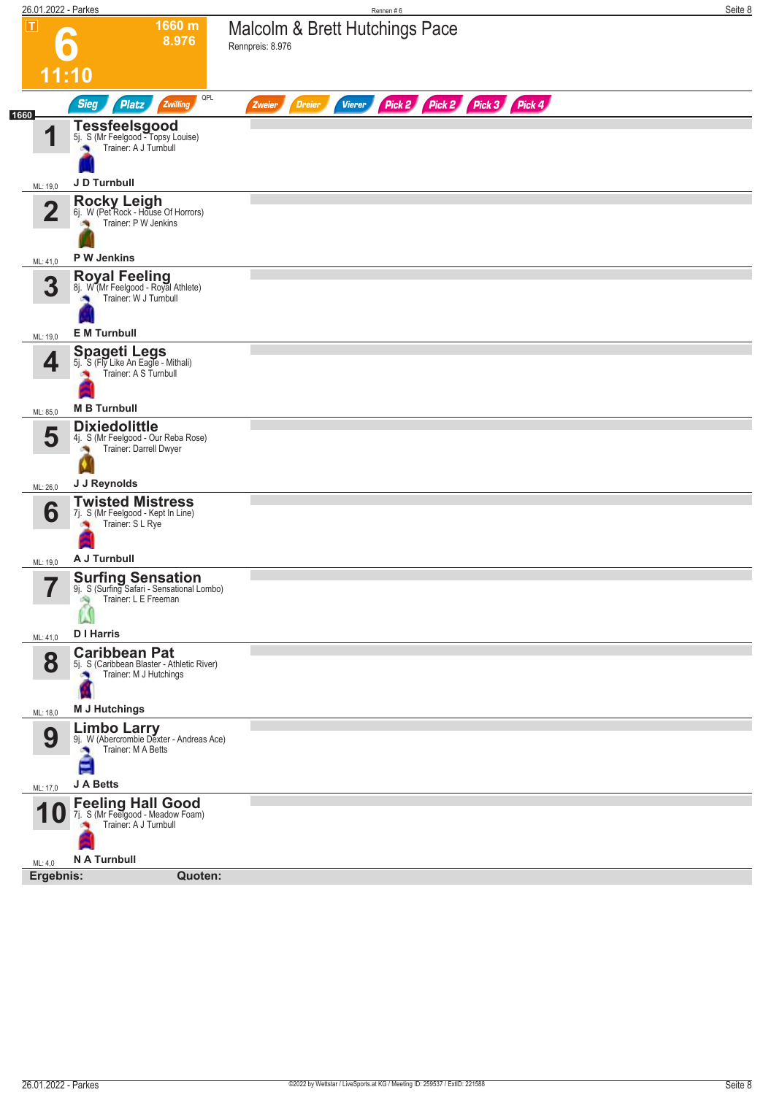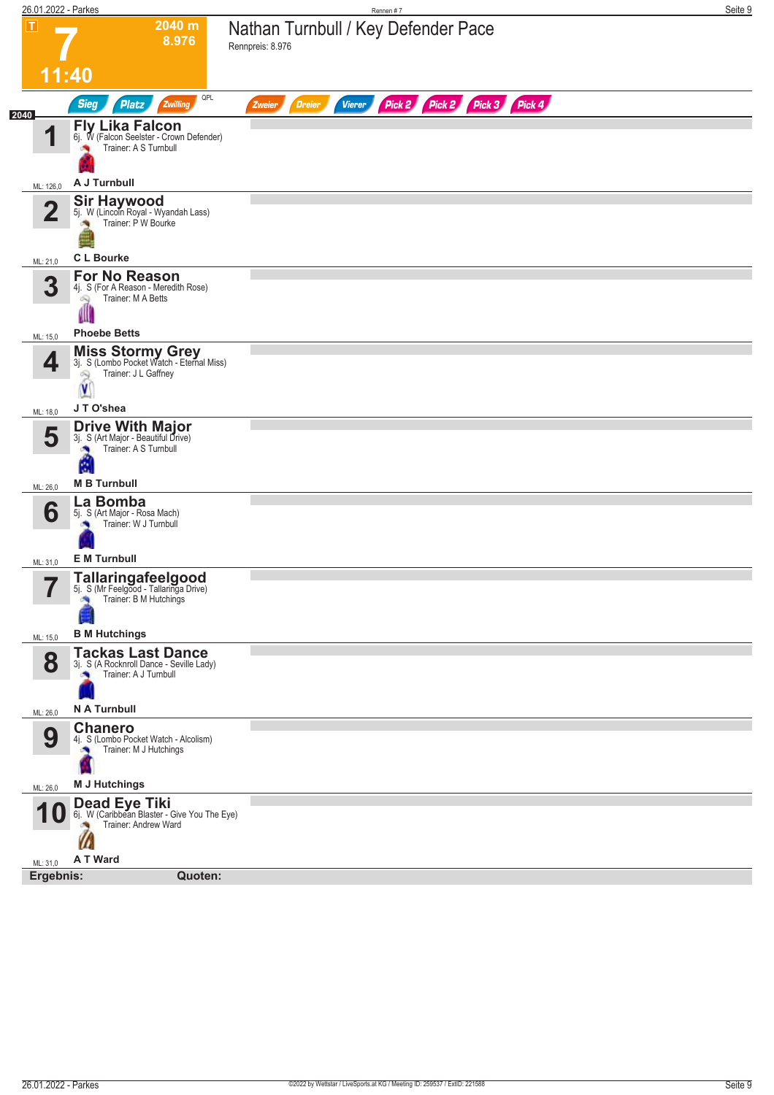